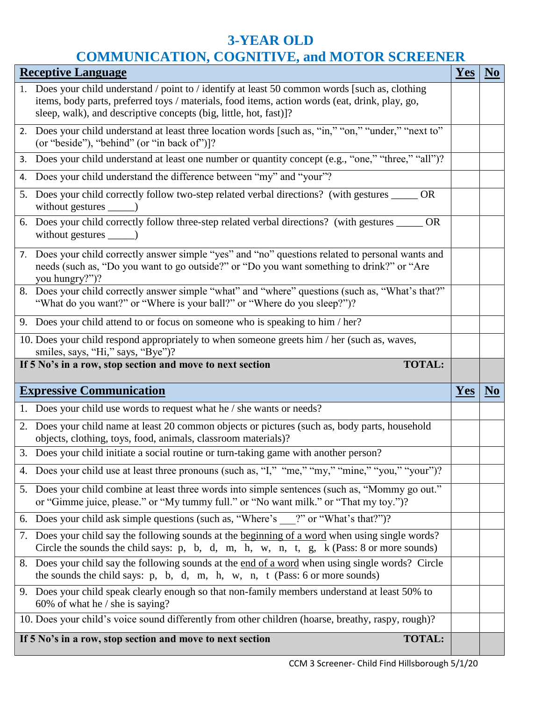## **3-YEAR OLD COMMUNICATION, COGNITIVE, and MOTOR SCREENER**

| <b>Receptive Language</b>                                                                          |                                                                                                                                                                                                                  |     |                |  |  |
|----------------------------------------------------------------------------------------------------|------------------------------------------------------------------------------------------------------------------------------------------------------------------------------------------------------------------|-----|----------------|--|--|
|                                                                                                    | 1. Does your child understand / point to / identify at least 50 common words [such as, clothing]                                                                                                                 |     |                |  |  |
|                                                                                                    | items, body parts, preferred toys / materials, food items, action words (eat, drink, play, go,<br>sleep, walk), and descriptive concepts (big, little, hot, fast)]?                                              |     |                |  |  |
|                                                                                                    |                                                                                                                                                                                                                  |     |                |  |  |
|                                                                                                    | 2. Does your child understand at least three location words [such as, "in," "on," "under," "next to"<br>(or "beside"), "behind" (or "in back of")]?                                                              |     |                |  |  |
|                                                                                                    | 3. Does your child understand at least one number or quantity concept (e.g., "one," "three," "all")?                                                                                                             |     |                |  |  |
| 4.                                                                                                 | Does your child understand the difference between "my" and "your"?                                                                                                                                               |     |                |  |  |
|                                                                                                    | 5. Does your child correctly follow two-step related verbal directions? (with gestures _____<br><b>OR</b>                                                                                                        |     |                |  |  |
|                                                                                                    | 6. Does your child correctly follow three-step related verbal directions? (with gestures _____ OR                                                                                                                |     |                |  |  |
|                                                                                                    | 7. Does your child correctly answer simple "yes" and "no" questions related to personal wants and<br>needs (such as, "Do you want to go outside?" or "Do you want something to drink?" or "Are<br>you hungry?")? |     |                |  |  |
|                                                                                                    | 8. Does your child correctly answer simple "what" and "where" questions (such as, "What's that?"<br>"What do you want?" or "Where is your ball?" or "Where do you sleep?")?                                      |     |                |  |  |
|                                                                                                    | 9. Does your child attend to or focus on someone who is speaking to him / her?                                                                                                                                   |     |                |  |  |
|                                                                                                    | 10. Does your child respond appropriately to when someone greets him / her (such as, waves,                                                                                                                      |     |                |  |  |
|                                                                                                    | smiles, says, "Hi," says, "Bye")?                                                                                                                                                                                |     |                |  |  |
|                                                                                                    | <b>TOTAL:</b><br>If 5 No's in a row, stop section and move to next section                                                                                                                                       |     |                |  |  |
|                                                                                                    | <b>Expressive Communication</b>                                                                                                                                                                                  | Yes | N <sub>0</sub> |  |  |
|                                                                                                    | 1. Does your child use words to request what he / she wants or needs?                                                                                                                                            |     |                |  |  |
|                                                                                                    | 2. Does your child name at least 20 common objects or pictures (such as, body parts, household<br>objects, clothing, toys, food, animals, classroom materials)?                                                  |     |                |  |  |
|                                                                                                    | 3. Does your child initiate a social routine or turn-taking game with another person?                                                                                                                            |     |                |  |  |
|                                                                                                    | 4. Does your child use at least three pronouns (such as, "I," "me," "my," "mine," "you," "your")?                                                                                                                |     |                |  |  |
|                                                                                                    | 5. Does your child combine at least three words into simple sentences (such as, "Mommy go out."<br>or "Gimme juice, please." or "My tummy full." or "No want milk." or "That my toy.")?                          |     |                |  |  |
|                                                                                                    | 6. Does your child ask simple questions (such as, "Where's ?" or "What's that?")?                                                                                                                                |     |                |  |  |
|                                                                                                    | 7. Does your child say the following sounds at the beginning of a word when using single words?<br>Circle the sounds the child says: p, b, d, m, h, w, n, t, g, k (Pass: 8 or more sounds)                       |     |                |  |  |
|                                                                                                    | 8. Does your child say the following sounds at the end of a word when using single words? Circle<br>the sounds the child says: $p$ , $b$ , $d$ , $m$ , $h$ , $w$ , $n$ , $t$ (Pass: 6 or more sounds)            |     |                |  |  |
|                                                                                                    | 9. Does your child speak clearly enough so that non-family members understand at least 50% to<br>60% of what he $/$ she is saying?                                                                               |     |                |  |  |
| 10. Does your child's voice sound differently from other children (hoarse, breathy, raspy, rough)? |                                                                                                                                                                                                                  |     |                |  |  |
| If 5 No's in a row, stop section and move to next section<br><b>TOTAL:</b>                         |                                                                                                                                                                                                                  |     |                |  |  |